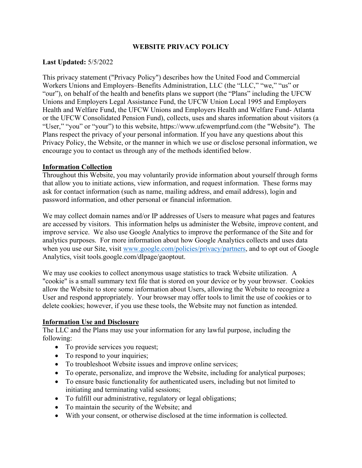### **WEBSITE PRIVACY POLICY**

### **Last Updated:** 5/5/2022

This privacy statement ("Privacy Policy") describes how the United Food and Commercial Workers Unions and Employers–Benefits Administration, LLC (the "LLC," "we," "us" or "our"), on behalf of the health and benefits plans we support (the "Plans" including the UFCW Unions and Employers Legal Assistance Fund, the UFCW Union Local 1995 and Employers Health and Welfare Fund, the UFCW Unions and Employers Health and Welfare Fund- Atlanta or the UFCW Consolidated Pension Fund), collects, uses and shares information about visitors (a "User," "you" or "your") to this website, https://www.ufcwemprfund.com (the "Website"). The Plans respect the privacy of your personal information. If you have any questions about this Privacy Policy, the Website, or the manner in which we use or disclose personal information, we encourage you to contact us through any of the methods identified below.

#### **Information Collection**

Throughout this Website, you may voluntarily provide information about yourself through forms that allow you to initiate actions, view information, and request information. These forms may ask for contact information (such as name, mailing address, and email address), login and password information, and other personal or financial information.

We may collect domain names and/or IP addresses of Users to measure what pages and features are accessed by visitors. This information helps us administer the Website, improve content, and improve service. We also use Google Analytics to improve the performance of the Site and for analytics purposes. For more information about how Google Analytics collects and uses data when you use our Site, visit [www.google.com/policies/privacy/partners,](http://www.google.com/policies/privacy/partners) and to opt out of Google Analytics, visit tools.google.com/dlpage/gaoptout.

We may use cookies to collect anonymous usage statistics to track Website utilization. A "cookie" is a small summary text file that is stored on your device or by your browser. Cookies allow the Website to store some information about Users, allowing the Website to recognize a User and respond appropriately. Your browser may offer tools to limit the use of cookies or to delete cookies; however, if you use these tools, the Website may not function as intended.

### **Information Use and Disclosure**

The LLC and the Plans may use your information for any lawful purpose, including the following:

- To provide services you request;
- To respond to your inquiries;
- To troubleshoot Website issues and improve online services;
- To operate, personalize, and improve the Website, including for analytical purposes;
- To ensure basic functionality for authenticated users, including but not limited to initiating and terminating valid sessions;
- To fulfill our administrative, regulatory or legal obligations;
- To maintain the security of the Website; and
- With your consent, or otherwise disclosed at the time information is collected.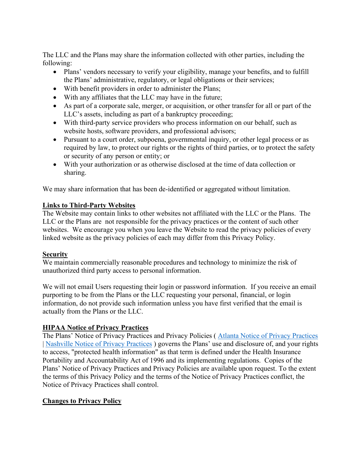The LLC and the Plans may share the information collected with other parties, including the following:

- Plans' vendors necessary to verify your eligibility, manage your benefits, and to fulfill the Plans' administrative, regulatory, or legal obligations or their services;
- With benefit providers in order to administer the Plans;
- With any affiliates that the LLC may have in the future;
- As part of a corporate sale, merger, or acquisition, or other transfer for all or part of the LLC's assets, including as part of a bankruptcy proceeding;
- With third-party service providers who process information on our behalf, such as website hosts, software providers, and professional advisors;
- Pursuant to a court order, subpoena, governmental inquiry, or other legal process or as required by law, to protect our rights or the rights of third parties, or to protect the safety or security of any person or entity; or
- With your authorization or as otherwise disclosed at the time of data collection or sharing.

We may share information that has been de-identified or aggregated without limitation.

## **Links to Third-Party Websites**

The Website may contain links to other websites not affiliated with the LLC or the Plans. The LLC or the Plans are not responsible for the privacy practices or the content of such other websites. We encourage you when you leave the Website to read the privacy policies of every linked website as the privacy policies of each may differ from this Privacy Policy.

## **Security**

We maintain commercially reasonable procedures and technology to minimize the risk of unauthorized third party access to personal information.

We will not email Users requesting their login or password information. If you receive an email purporting to be from the Plans or the LLC requesting your personal, financial, or login information, do not provide such information unless you have first verified that the email is actually from the Plans or the LLC.

# **HIPAA Notice of Privacy Practices**

The Plans' Notice of Privacy Practices and Privacy Policies ( [Atlanta Notice of Privacy Practices](https://ufcwemprfund.org/isite456/eremitimages/456/public/documents/Atlanta%20Notice%20of%20Privacy%20Practices.pdf) | [Nashville Notice of Privacy Practices](https://ufcwemprfund.org/isite456/eremitimages/456/public/documents/Nashville%20Notice%20of%20Privacy%20Practices.pdf) ) governs the Plans' use and disclosure of, and your rights to access, "protected health information" as that term is defined under the Health Insurance Portability and Accountability Act of 1996 and its implementing regulations. Copies of the Plans' Notice of Privacy Practices and Privacy Policies are available upon request. To the extent the terms of this Privacy Policy and the terms of the Notice of Privacy Practices conflict, the Notice of Privacy Practices shall control.

# **Changes to Privacy Policy**